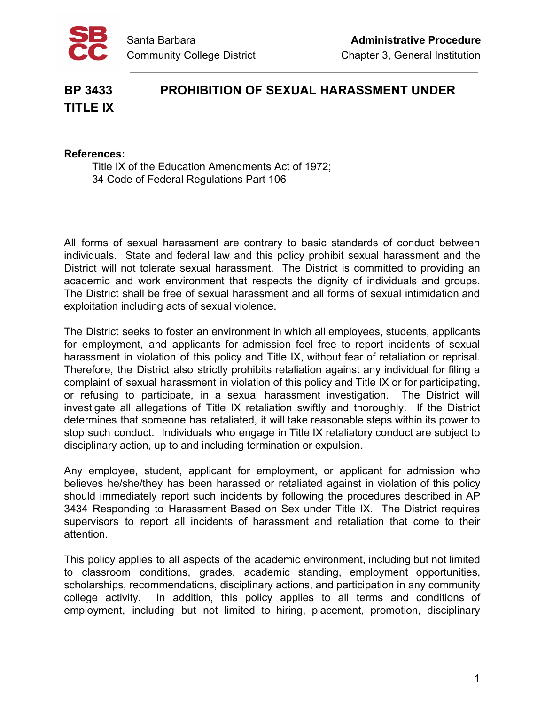

## **BP 3433 PROHIBITION OF SEXUAL HARASSMENT UNDER TITLE IX**

## **References:**

Title IX of the Education Amendments Act of 1972; 34 Code of Federal Regulations Part 106

All forms of sexual harassment are contrary to basic standards of conduct between individuals. State and federal law and this policy prohibit sexual harassment and the District will not tolerate sexual harassment. The District is committed to providing an academic and work environment that respects the dignity of individuals and groups. The District shall be free of sexual harassment and all forms of sexual intimidation and exploitation including acts of sexual violence.

The District seeks to foster an environment in which all employees, students, applicants for employment, and applicants for admission feel free to report incidents of sexual harassment in violation of this policy and Title IX, without fear of retaliation or reprisal. Therefore, the District also strictly prohibits retaliation against any individual for filing a complaint of sexual harassment in violation of this policy and Title IX or for participating, or refusing to participate, in a sexual harassment investigation. The District will investigate all allegations of Title IX retaliation swiftly and thoroughly. If the District determines that someone has retaliated, it will take reasonable steps within its power to stop such conduct. Individuals who engage in Title IX retaliatory conduct are subject to disciplinary action, up to and including termination or expulsion.

Any employee, student, applicant for employment, or applicant for admission who believes he/she/they has been harassed or retaliated against in violation of this policy should immediately report such incidents by following the procedures described in AP 3434 Responding to Harassment Based on Sex under Title IX. The District requires supervisors to report all incidents of harassment and retaliation that come to their attention.

This policy applies to all aspects of the academic environment, including but not limited to classroom conditions, grades, academic standing, employment opportunities, scholarships, recommendations, disciplinary actions, and participation in any community college activity. In addition, this policy applies to all terms and conditions of employment, including but not limited to hiring, placement, promotion, disciplinary